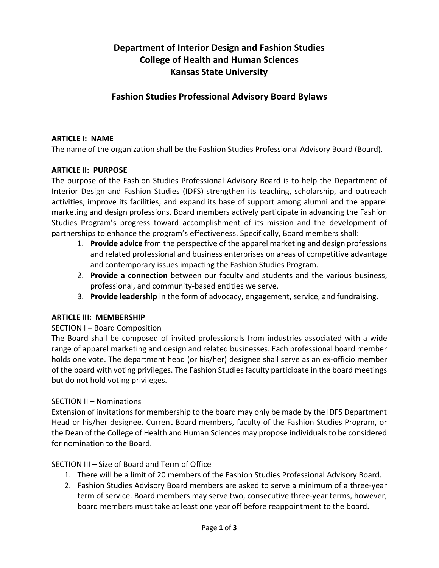# **Department of Interior Design and Fashion Studies College of Health and Human Sciences Kansas State University**

## **Fashion Studies Professional Advisory Board Bylaws**

### **ARTICLE I: NAME**

The name of the organization shall be the Fashion Studies Professional Advisory Board (Board).

## **ARTICLE II: PURPOSE**

The purpose of the Fashion Studies Professional Advisory Board is to help the Department of Interior Design and Fashion Studies (IDFS) strengthen its teaching, scholarship, and outreach activities; improve its facilities; and expand its base of support among alumni and the apparel marketing and design professions. Board members actively participate in advancing the Fashion Studies Program's progress toward accomplishment of its mission and the development of partnerships to enhance the program's effectiveness. Specifically, Board members shall:

- 1. **Provide advice** from the perspective of the apparel marketing and design professions and related professional and business enterprises on areas of competitive advantage and contemporary issues impacting the Fashion Studies Program.
- 2. **Provide a connection** between our faculty and students and the various business, professional, and community-based entities we serve.
- 3. **Provide leadership** in the form of advocacy, engagement, service, and fundraising.

## **ARTICLE III: MEMBERSHIP**

### SECTION I – Board Composition

The Board shall be composed of invited professionals from industries associated with a wide range of apparel marketing and design and related businesses. Each professional board member holds one vote. The department head (or his/her) designee shall serve as an ex-officio member of the board with voting privileges. The Fashion Studies faculty participate in the board meetings but do not hold voting privileges.

### SECTION II – Nominations

Extension of invitations for membership to the board may only be made by the IDFS Department Head or his/her designee. Current Board members, faculty of the Fashion Studies Program, or the Dean of the College of Health and Human Sciences may propose individuals to be considered for nomination to the Board.

## SECTION III – Size of Board and Term of Office

- 1. There will be a limit of 20 members of the Fashion Studies Professional Advisory Board.
- 2. Fashion Studies Advisory Board members are asked to serve a minimum of a three-year term of service. Board members may serve two, consecutive three-year terms, however, board members must take at least one year off before reappointment to the board.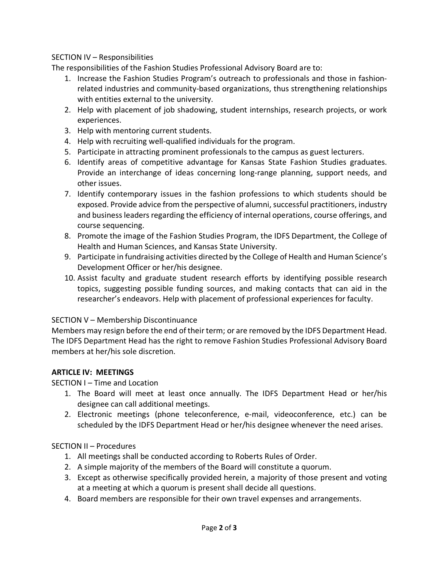## SECTION IV – Responsibilities

The responsibilities of the Fashion Studies Professional Advisory Board are to:

- 1. Increase the Fashion Studies Program's outreach to professionals and those in fashionrelated industries and community-based organizations, thus strengthening relationships with entities external to the university.
- 2. Help with placement of job shadowing, student internships, research projects, or work experiences.
- 3. Help with mentoring current students.
- 4. Help with recruiting well-qualified individuals for the program.
- 5. Participate in attracting prominent professionals to the campus as guest lecturers.
- 6. Identify areas of competitive advantage for Kansas State Fashion Studies graduates. Provide an interchange of ideas concerning long-range planning, support needs, and other issues.
- 7. Identify contemporary issues in the fashion professions to which students should be exposed. Provide advice from the perspective of alumni, successful practitioners, industry and business leaders regarding the efficiency of internal operations, course offerings, and course sequencing.
- 8. Promote the image of the Fashion Studies Program, the IDFS Department, the College of Health and Human Sciences, and Kansas State University.
- 9. Participate in fundraising activities directed by the College of Health and Human Science's Development Officer or her/his designee.
- 10. Assist faculty and graduate student research efforts by identifying possible research topics, suggesting possible funding sources, and making contacts that can aid in the researcher's endeavors. Help with placement of professional experiences for faculty.

## SECTION V – Membership Discontinuance

Members may resign before the end of their term; or are removed by the IDFS Department Head. The IDFS Department Head has the right to remove Fashion Studies Professional Advisory Board members at her/his sole discretion.

## **ARTICLE IV: MEETINGS**

SECTION I – Time and Location

- 1. The Board will meet at least once annually. The IDFS Department Head or her/his designee can call additional meetings.
- 2. Electronic meetings (phone teleconference, e-mail, videoconference, etc.) can be scheduled by the IDFS Department Head or her/his designee whenever the need arises.

## SECTION II – Procedures

- 1. All meetings shall be conducted according to Roberts Rules of Order.
- 2. A simple majority of the members of the Board will constitute a quorum.
- 3. Except as otherwise specifically provided herein, a majority of those present and voting at a meeting at which a quorum is present shall decide all questions.
- 4. Board members are responsible for their own travel expenses and arrangements.